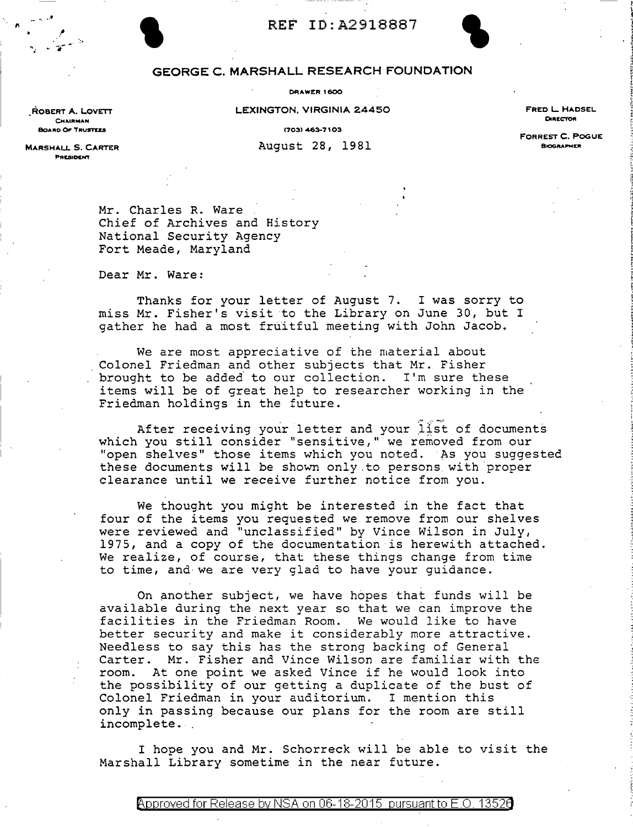

# REF ID:A2918887<br>GEORGE C. MARSHALL RESEARCH FOUNDATION

LEXINGTON, VIRGINIA 24450

FRED L HADSEL DIRECTOR

1703) 463-7103

FORREST C. POGUE **BIOGRAPHER** 

OARD OF TRUSTEES MARSHAU. 5. CARTER

ROBERT A. LOVETT **CHAIRMAN** 

fl

- <sup>~</sup>... •

August 28, 1981

PRESIDENT

Mr. Charles R. Ware Chief of Archives and History National Security Agency Fort Meade, Maryland

Dear Mr. Ware:

Thanks for your letter of August 7. I was sorry to miss Mr. Fisher's visit to the Library on June 30, but I gather he had a most fruitful meeting with John Jacob.

We are most appreciative of the material about Colonel Friedman and other subjects that Mr. Fisher brought to be adde6 to our collection. I'm sure these items will be of great help to researcher working in the Friedman holdings in the future.

After receiving your letter and your list of documents which you still consider "sensitive," we removed from our "open shelves" those items which you noted. As you suggested these documents will be shown only.to persons with proper clearance until we receive further notice from you.

We thought you might be interested in the fact that four of the items you requested we remove from our shelves were reviewed and "unclassified" by Vince Wilson in July, 1975, and a copy of the documentation is herewith attached. We realize, of course, that these things change from time to time, and we are very glad to have your guidance.

On another subject, we have hopes that funds will be available during the next year so that we can improve the facilities in the Friedman Room. We would like to have better security and make it considerably more attractive. Needless to say this has the strong backing of General Carter. Mr. Fisher and Vince Wilson are familiar with the room. At one point we asked Vince if he would look into the possibility of our getting a duplicate of the bust of Colonel Friedman in your auditorium. I mention this only in passing because our plans for the room are still incomplete.

I hope you and Mr. Schorreck will be able to visit the Marshall Library sometime in the near future.

Approved for Release by NSA on 06-18-2015 pursuant to E.O. 13526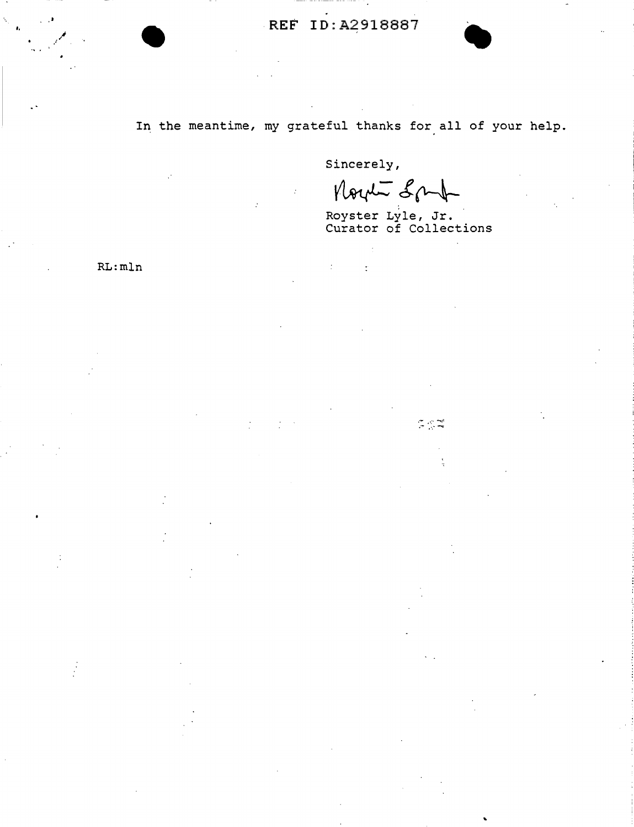#### In the meantime, my grateful thanks for all of your help.

Sincerely,

 $\ddot{\cdot}$ 

÷

North Sput

Royster Lyle, Jr.<br>Curator of Collections

 $RL:mln$ 

 $\mathbb{Z} \subseteq \mathbb{Z}^d$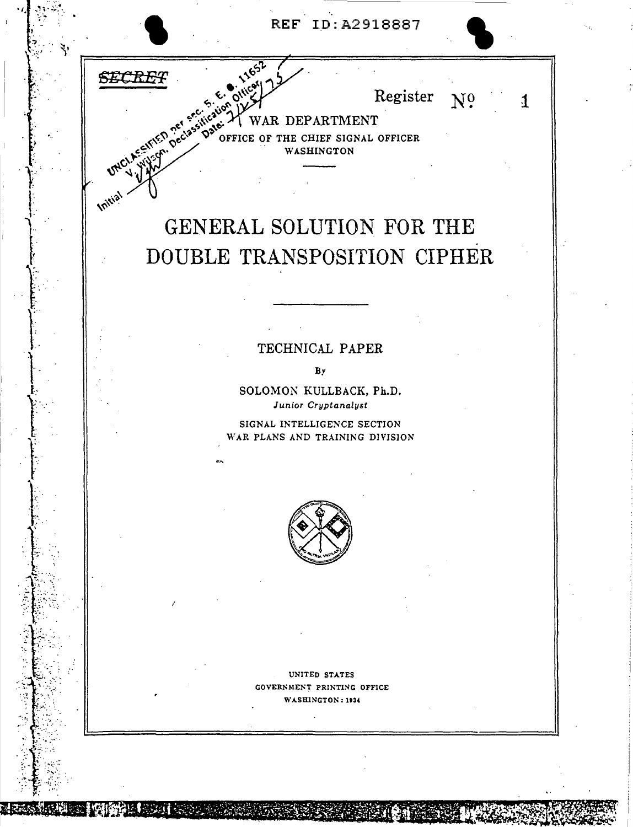



## GENERAL SOLUTION FOR THE DOUBLE TRANSPOSITION CIPHER

#### TECHNICAL PAPER

 $By$ 

SOLOMON KULLBACK, Ph.D. Junior Cryptanalyst

SIGNAL INTELLIGENCE SECTION WAR PLANS AND TRAINING DIVISION



UNITED STATES GOVERNMENT PRINTING OFFICE WASHINGTON: 1934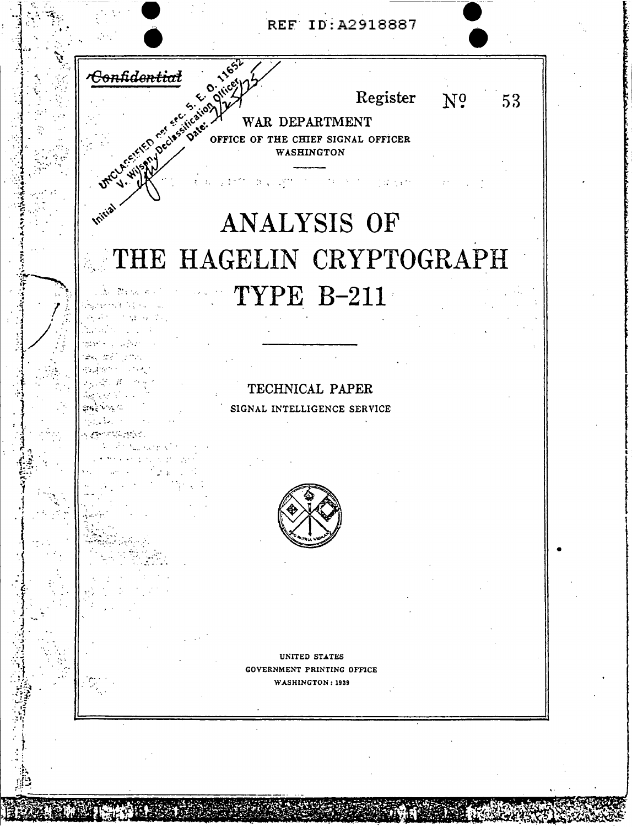



### **Vritis** ANALYSIS OF THE HAGELIN CRYPTOGRAPH TYPE B-211 小脑 网络人物

 $\lambda_{\rm c}$  in the  $^2$ المواجه المستبق

 $\mathbf{v} \in \mathbb{R}^n$ 

TECHNICAL PAPER SIGNAL INTELLIGENCE SERVICE



UNITED STATES GOVERNMENT PRINTING OFFICE WASHINGTON: 1939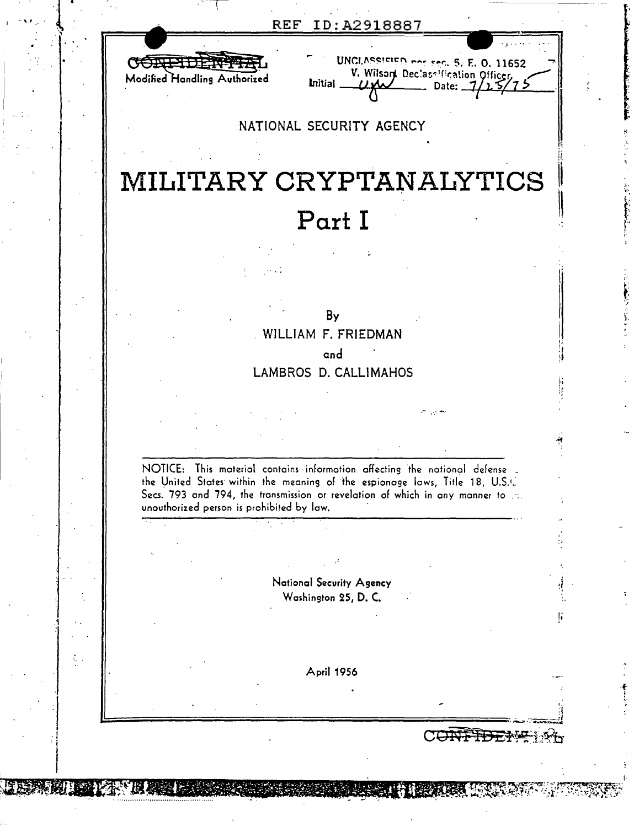| REF |  | ID:A2918887 |
|-----|--|-------------|
|     |  |             |



|                | UNCLASSIFIED not sec. 5, E. O. 11652 |  |
|----------------|--------------------------------------|--|
| <b>Initial</b> | V. Wilson Declassification Officer,  |  |
|                |                                      |  |

#### NATIONAL SECURITY AGENCY

## MILITARY CRYPTANALYTICS Part I

By WILLIAM F. FRIEDMAN and LAMBROS D. CALLIMAHOS

NOTICE: This material contains information affecting the national defense the United States within the meaning of the espionage laws, Title 18, U.S.C. Secs. 793 and 794, the transmission or revelation of which in any manner to ...

unauthorized person is prohibited by law.

National Security Agency Washington 25, D. C.

April 1956

CONFIE